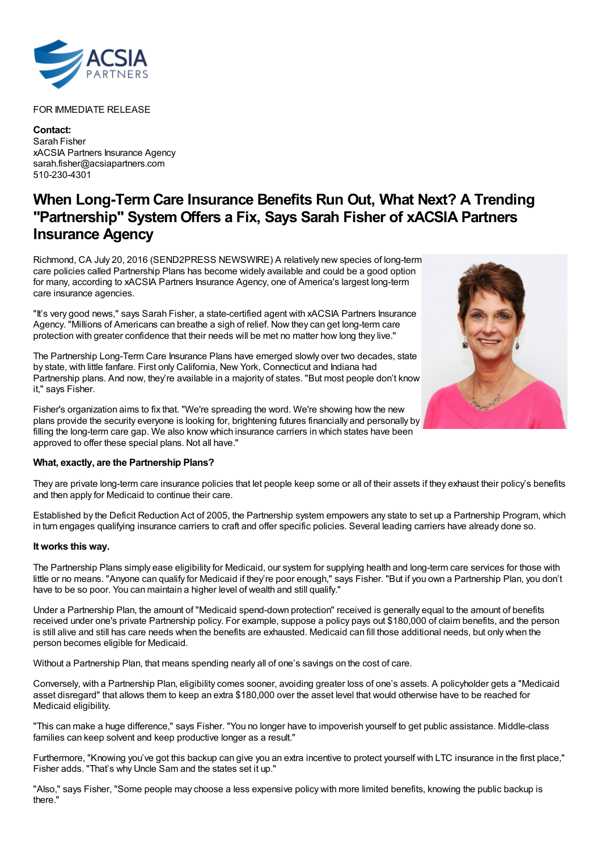

## FOR IMMEDIATE RELEASE

**Contact:** Sarah Fisher xACSIA Partners Insurance Agency sarah.fisher@acsiapartners.com 510-230-4301

## **When Long-Term Care Insurance Benefits Run Out, What Next? A Trending "Partnership" System Offers a Fix, Says Sarah Fisher of xACSIA Partners Insurance Agency**

Richmond, CA July 20, 2016 (SEND2PRESS NEWSWIRE) A relatively new species of long-term care policies called Partnership Plans has become widely available and could be a good option for many, according to xACSIA Partners Insurance Agency, one of America's largest long-term care insurance agencies.

"It's very good news," says Sarah Fisher, a state-certified agent with xACSIA Partners Insurance Agency. "Millions of Americans can breathe a sigh of relief. Now they can get long-term care protection with greater confidence that their needs will be met no matter how long they live."

The Partnership Long-Term Care Insurance Plans have emerged slowly over two decades, state by state, with little fanfare. First only California, New York, Connecticut and Indiana had Partnership plans. And now, they're available in a majority of states. "But most people don't know it," says Fisher.

Fisher's organization aims to fix that. "We're spreading the word. We're showing how the new plans provide the security everyone is looking for, brightening futures financially and personally by filling the long-term care gap. We also know which insurance carriers in which states have been approved to offer these special plans. Not all have."

## **What, exactly, are the Partnership Plans?**

They are private long-term care insurance policies that let people keep some or all of their assets if they exhaust their policy's benefits and then apply for Medicaid to continue their care.

Established by the Deficit Reduction Act of 2005, the Partnership system empowers any state to set up a Partnership Program, which in turn engages qualifying insurance carriers to craft and offer specific policies. Several leading carriers have already done so.

## **It works this way.**

The Partnership Plans simply ease eligibility for Medicaid, our system for supplying health and long-term care services for those with little or no means. "Anyone can qualify for Medicaid if they're poor enough," says Fisher. "But if you own a Partnership Plan, you don't have to be so poor. You can maintain a higher level of wealth and still qualify."

Under a Partnership Plan, the amount of "Medicaid spend-down protection" received is generally equal to the amount of benefits received under one's private Partnership policy. For example, suppose a policy pays out \$180,000 of claim benefits, and the person is still alive and still has care needs when the benefits are exhausted. Medicaid can fill those additional needs, but only when the person becomes eligible for Medicaid.

Without a Partnership Plan, that means spending nearly all of one's savings on the cost of care.

Conversely, with a Partnership Plan, eligibility comes sooner, avoiding greater loss of one's assets. A policyholder gets a "Medicaid asset disregard" that allows them to keep an extra \$180,000 over the asset level that would otherwise have to be reached for Medicaid eligibility.

"This can make a huge difference," says Fisher. "You no longer have to impoverish yourself to get public assistance. Middle-class families can keep solvent and keep productive longer as a result."

Furthermore, "Knowing you've got this backup can give you an extra incentive to protect yourself with LTC insurance in the first place," Fisher adds. "That's why Uncle Sam and the states set it up."

"Also," says Fisher, "Some people may choose a less expensive policy with more limited benefits, knowing the public backup is there."